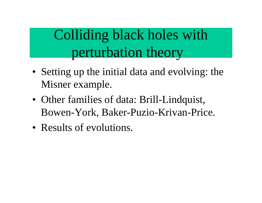Colliding black holes with perturbation theory

- Setting up the initial data and evolving: the Misner example.
- Other families of data: Brill-Lindquist, Bowen-York, Baker-Puzio-Krivan-Price.
- Results of evolutions.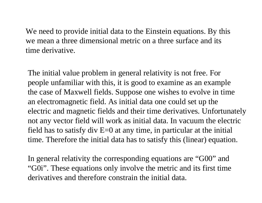We need to provide initial data to the Einstein equations. By this we mean a three dimensional metric on a three surface and its time derivative.

The initial value problem in general relativity is not free. For people unfamiliar with this, it is good to examine as an example the case of Maxwell fields. Suppose one wishes to evolve in time an electromagnetic field. As initial data one could set up the electric and magnetic fields and their time derivatives. Unfortunately not any vector field will work as initial data. In vacuum the electric field has to satisfy div  $E=0$  at any time, in particular at the initial time. Therefore the initial data has to satisfy this (linear) equation.

In general relativity the corresponding equations are "G00" and "G0i". These equations only involve the metric and its first time derivatives and therefore constrain the initial data.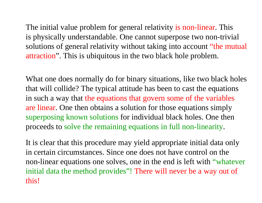The initial value problem for general relativity is non-linear. This is physically understandable. One cannot superpose two non-trivial solutions of general relativity without taking into account "the mutual" attraction". This is ubiquitous in the two black hole problem.

What one does normally do for binary situations, like two black holes that will collide? The typical attitude has been to cast the equations in such a way that the equations that govern some of the variables are linear. One then obtains a solution for those equations simply superposing known solutions for individual black holes. One then proceeds to solve the remaining equations in full non-linearity.

It is clear that this procedure may yield appropriate initial data only in certain circumstances. Since one does not have control on the non-linear equations one solves, one in the end is left with "whatever initial data the method provides"! There will never be a way out of this!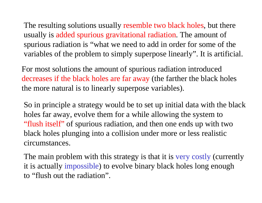The resulting solutions usually resemble two black holes, but there usually is added spurious gravitational radiation. The amount of spurious radiation is "what we need to add in order for some of the variables of the problem to simply superpose linearly". It is artificial.

For most solutions the amount of spurious radiation introduced decreases if the black holes are far away (the farther the black holes the more natural is to linearly superpose variables).

So in principle a strategy would be to set up initial data with the black holes far away, evolve them for a while allowing the system to "flush itself" of spurious radiation, and then one ends up with two black holes plunging into a collision under more or less realistic circumstances.

The main problem with this strategy is that it is very costly (currently it is actually impossible) to evolve binary black holes long enough to "flush out the radiation".